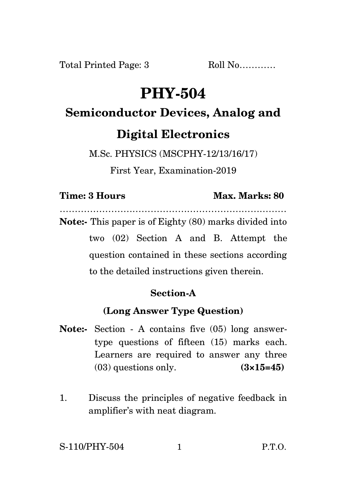# **PHY-504**

# **Semiconductor Devices, Analog and Digital Electronics**

M.Sc. PHYSICS (MSCPHY-12/13/16/17)

First Year, Examination-2019

### **Time: 3 Hours Max. Marks: 80**

…………………………………………………………………

**Note:-** This paper is of Eighty (80) marks divided into two (02) Section A and B. Attempt the question contained in these sections according to the detailed instructions given therein.

## **Section-A**

## **(Long Answer Type Question)**

- **Note:-** Section A contains five (05) long answertype questions of fifteen (15) marks each. Learners are required to answer any three (03) questions only. **(3×15=45)**
- 1. Discuss the principles of negative feedback in amplifier's with neat diagram.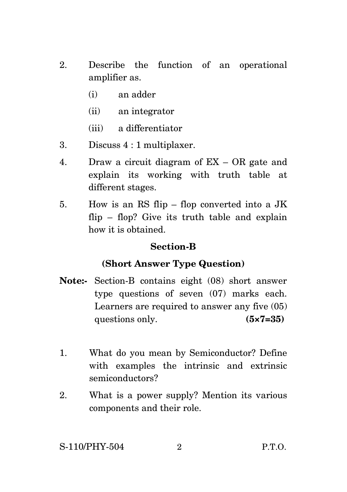- 2. Describe the function of an operational amplifier as.
	- (i) an adder
	- (ii) an integrator
	- (iii) a differentiator
- 3. Discuss 4 : 1 multiplaxer.
- 4. Draw a circuit diagram of EX OR gate and explain its working with truth table at different stages.
- 5. How is an RS flip flop converted into a JK flip – flop? Give its truth table and explain how it is obtained.

#### **Section-B**

#### **(Short Answer Type Question)**

- **Note:-** Section-B contains eight (08) short answer type questions of seven (07) marks each. Learners are required to answer any five (05) questions only. **(5×7=35)**
- 1. What do you mean by Semiconductor? Define with examples the intrinsic and extrinsic semiconductors?
- 2. What is a power supply? Mention its various components and their role.

S-110/PHY-504 2 P.T.O.